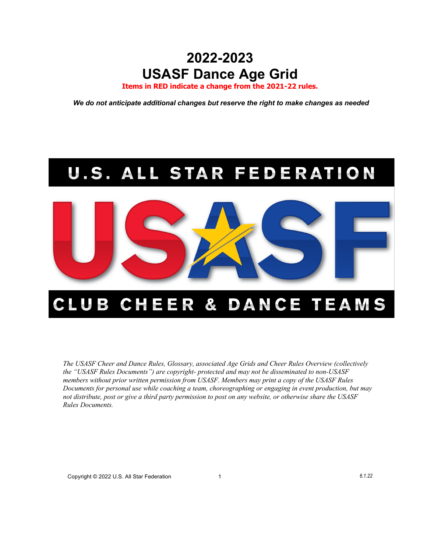# **2022-2023 USASF Dance Age Grid**

**Items in RED indicate a change from the 2021-22 rules.**

*We do not anticipate additional changes but reserve the right to make changes as needed* 

# **U.S. ALL STAR FEDERATION**



# CLUB CHEER & DANCE TEAMS

*The USASF Cheer and Dance Rules, Glossary, associated Age Grids and Cheer Rules Overview (collectively the "USASF Rules Documents") are copyright- protected and may not be disseminated to non-USASF members without prior written permission from USASF. Members may print a copy of the USASF Rules Documents for personal use while coaching a team, choreographing or engaging in event production, but may not distribute, post or give a third party permission to post on any website, or otherwise share the USASF Rules Documents.*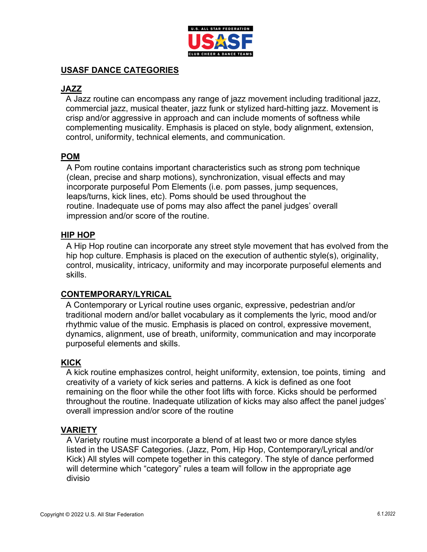

#### **USASF DANCE CATEGORIES**

# **JAZZ**

A Jazz routine can encompass any range of jazz movement including traditional jazz, commercial jazz, musical theater, jazz funk or stylized hard-hitting jazz. Movement is crisp and/or aggressive in approach and can include moments of softness while complementing musicality. Emphasis is placed on style, body alignment, extension, control, uniformity, technical elements, and communication.

# **POM**

A Pom routine contains important characteristics such as strong pom technique (clean, precise and sharp motions), synchronization, visual effects and may incorporate purposeful Pom Elements (i.e. pom passes, jump sequences, leaps/turns, kick lines, etc). Poms should be used throughout the routine. Inadequate use of poms may also affect the panel judges' overall impression and/or score of the routine.

#### **HIP HOP**

A Hip Hop routine can incorporate any street style movement that has evolved from the hip hop culture. Emphasis is placed on the execution of authentic style(s), originality, control, musicality, intricacy, uniformity and may incorporate purposeful elements and skills.

#### **CONTEMPORARY/LYRICAL**

A Contemporary or Lyrical routine uses organic, expressive, pedestrian and/or traditional modern and/or ballet vocabulary as it complements the lyric, mood and/or rhythmic value of the music. Emphasis is placed on control, expressive movement, dynamics, alignment, use of breath, uniformity, communication and may incorporate purposeful elements and skills.

#### **KICK**

A kick routine emphasizes control, height uniformity, extension, toe points, timing and creativity of a variety of kick series and patterns. A kick is defined as one foot remaining on the floor while the other foot lifts with force. Kicks should be performed throughout the routine. Inadequate utilization of kicks may also affect the panel judges' overall impression and/or score of the routine

#### **VARIETY**

A Variety routine must incorporate a blend of at least two or more dance styles listed in the USASF Categories. (Jazz, Pom, Hip Hop, Contemporary/Lyrical and/or Kick) All styles will compete together in this category. The style of dance performed will determine which "category" rules a team will follow in the appropriate age divisio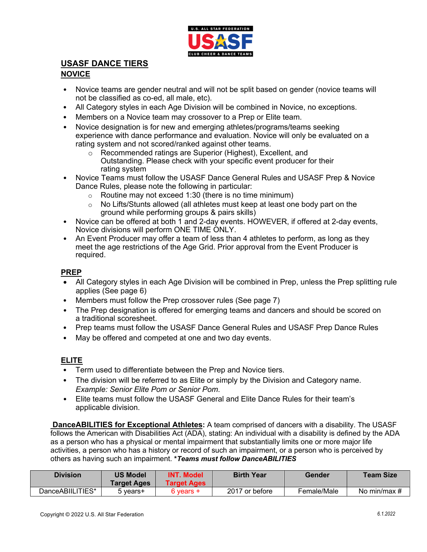

# **USASF DANCE TIERS**

#### **NOVICE**

- Novice teams are gender neutral and will not be split based on gender (novice teams will not be classified as co-ed, all male, etc).
- All Category styles in each Age Division will be combined in Novice, no exceptions.
- Members on a Novice team may crossover to a Prep or Elite team.
- Novice designation is for new and emerging athletes/programs/teams seeking experience with dance performance and evaluation. Novice will only be evaluated on a rating system and not scored/ranked against other teams.
	- o Recommended ratings are Superior (Highest), Excellent, and Outstanding. Please check with your specific event producer for their rating system
- Novice Teams must follow the USASF Dance General Rules and USASF Prep & Novice Dance Rules, please note the following in particular:
	- $\circ$  Routine may not exceed 1:30 (there is no time minimum)
	- $\circ$  No Lifts/Stunts allowed (all athletes must keep at least one body part on the ground while performing groups & pairs skills)
- Novice can be offered at both 1 and 2-day events. HOWEVER, if offered at 2-day events, Novice divisions will perform ONE TIME ONLY.
- An Event Producer may offer a team of less than 4 athletes to perform, as long as they meet the age restrictions of the Age Grid. Prior approval from the Event Producer is required.

#### **PREP**

- All Category styles in each Age Division will be combined in Prep, unless the Prep splitting rule applies (See page 6)
- Members must follow the Prep crossover rules (See page 7)
- The Prep designation is offered for emerging teams and dancers and should be scored on a traditional scoresheet.
- Prep teams must follow the USASF Dance General Rules and USASF Prep Dance Rules
- May be offered and competed at one and two day events.

#### **ELITE**

- Term used to differentiate between the Prep and Novice tiers.
- The division will be referred to as Elite or simply by the Division and Category name. *Example: Senior Elite Pom or Senior Pom*.
- Elite teams must follow the USASF General and Elite Dance Rules for their team's applicable division.

**DanceABILITIES for Exceptional Athletes:** A team comprised of dancers with a disability. The USASF follows the American with Disabilities Act (ADA), stating: An individual with a disability is defined by the ADA as a person who has a physical or mental impairment that substantially limits one or more major life activities, a person who has a history or record of such an impairment, or a person who is perceived by others as having such an impairment. **\****Teams must follow DanceABILITIES*

| <b>Division</b>  | <b>US Model</b><br><b>Target Ages</b> | <b>INT. Model</b><br><b>Target Ages</b> | <b>Birth Year</b> | Gender      | <b>Team Size</b> |
|------------------|---------------------------------------|-----------------------------------------|-------------------|-------------|------------------|
| DanceABIILITIES* | 5 years+                              | 6 vears +                               | 2017 or before    | Female/Male | No min/max #     |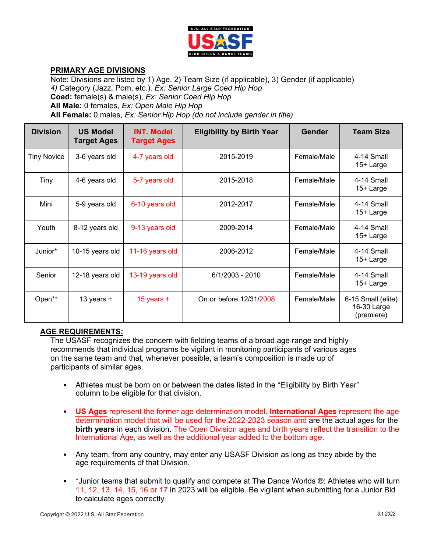

#### **PRIMARY AGE DIVISIONS**

Note: Divisions are listed by 1) Age, 2) Team Size (if applicable), 3) Gender (if applicable) *4)* Category (Jazz, Pom, etc.). *Ex: Senior Large Coed Hip Hop* **Coed:** female(s) & male(s), *Ex: Senior Coed Hip Hop* **All Male:** 0 females, *Ex: Open Male Hip Hop* **All Female:** 0 males, *Ex: Senior Hip Hop (do not include gender in title)*

| <b>Division</b>    | <b>US Model</b><br><b>Target Ages</b> | <b>INT. Model</b><br><b>Target Ages</b> | <b>Eligibility by Birth Year</b> | Gender      | <b>Team Size</b>                                |
|--------------------|---------------------------------------|-----------------------------------------|----------------------------------|-------------|-------------------------------------------------|
| <b>Tiny Novice</b> | 3-6 years old                         | 4-7 years old                           | 2015-2019                        | Female/Male | 4-14 Small<br>15+ Large                         |
| Tiny               | 4-6 years old                         | 5-7 years old                           | 2015-2018                        | Female/Male | 4-14 Small<br>15+ Large                         |
| Mini               | 5-9 years old                         | 6-10 years old                          | 2012-2017                        | Female/Male | 4-14 Small<br>15+ Large                         |
| Youth              | 8-12 years old                        | 9-13 years old                          | 2009-2014                        | Female/Male | 4-14 Small<br>15+ Large                         |
| Junior*            | 10-15 years old                       | 11-16 years old                         | 2006-2012                        | Female/Male | 4-14 Small<br>15+ Large                         |
| Senior             | 12-18 years old                       | 13-19 years old                         | 6/1/2003 - 2010                  | Female/Male | 4-14 Small<br>15+ Large                         |
| Open**             | 13 years $+$                          | 15 years $+$                            | On or before 12/31/2008          | Female/Male | 6-15 Small (elite)<br>16-30 Large<br>(premiere) |

#### **AGE REQUIREMENTS:**

The USASF recognizes the concern with fielding teams of a broad age range and highly recommends that individual programs be vigilant in monitoring participants of various ages on the same team and that, whenever possible, a team's composition is made up of participants of similar ages.

- Athletes must be born on or between the dates listed in the "Eligibility by Birth Year" column to be eligible for that division.
- **US Ages** represent the former age determination model. **International Ages** represent the age determination model that will be used for the 2022-2023 season and are the actual ages for the **birth years** in each division. The Open Division ages and birth years reflect the transition to the International Age, as well as the additional year added to the bottom age.
- Any team, from any country, may enter any USASF Division as long as they abide by the age requirements of that Division.
- \*Junior teams that submit to qualify and compete at The Dance Worlds ®: Athletes who will turn 11, 12, 13, 14, 15, 16 or 17 in 2023 will be eligible. Be vigilant when submitting for a Junior Bid to calculate ages correctly.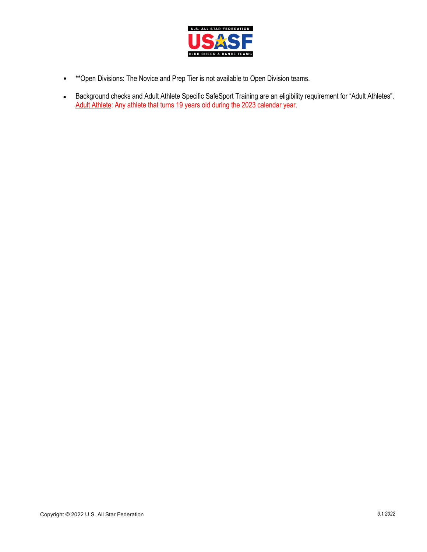

- \*\*Open Divisions: The Novice and Prep Tier is not available to Open Division teams.
- Background checks and Adult Athlete Specific SafeSport Training are an eligibility requirement for "Adult Athletes". Adult Athlete: Any athlete that turns 19 years old during the 2023 calendar year.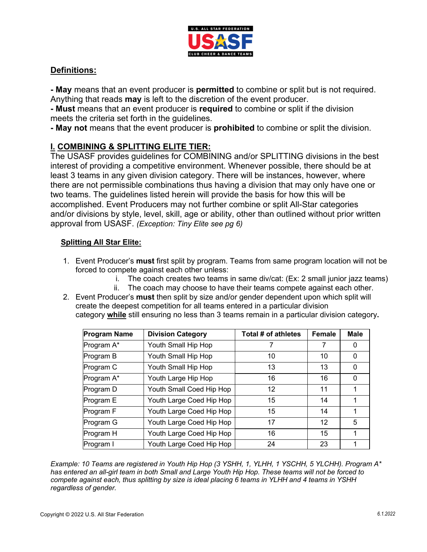

### **Definitions:**

**- May** means that an event producer is **permitted** to combine or split but is not required. Anything that reads **may** is left to the discretion of the event producer.

**- Must** means that an event producer is **required** to combine or split if the division meets the criteria set forth in the guidelines.

**- May not** means that the event producer is **prohibited** to combine or split the division.

# **I. COMBINING & SPLITTING ELITE TIER:**

The USASF provides guidelines for COMBINING and/or SPLITTING divisions in the best interest of providing a competitive environment. Whenever possible, there should be at least 3 teams in any given division category. There will be instances, however, where there are not permissible combinations thus having a division that may only have one or two teams. The guidelines listed herein will provide the basis for how this will be accomplished. Event Producers may not further combine or split All-Star categories and/or divisions by style, level, skill, age or ability, other than outlined without prior written approval from USASF. *(Exception: Tiny Elite see pg 6)*

#### **Splitting All Star Elite:**

- 1. Event Producer's **must** first split by program. Teams from same program location will not be forced to compete against each other unless:
	- i. The coach creates two teams in same div/cat: (Ex: 2 small junior jazz teams)
	- ii. The coach may choose to have their teams compete against each other.
- 2. Event Producer's **must** then split by size and/or gender dependent upon which split will create the deepest competition for all teams entered in a particular division category **while** still ensuring no less than 3 teams remain in a particular division category**.**

| <b>Program Name</b> | <b>Division Category</b> | Total # of athletes | <b>Female</b> | <b>Male</b> |
|---------------------|--------------------------|---------------------|---------------|-------------|
| Program A*          | Youth Small Hip Hop      |                     | 7             |             |
| Program B           | Youth Small Hip Hop      | 10                  | 10            | 0           |
| Program C           | Youth Small Hip Hop      | 13                  | 13            | ∩           |
| Program A*          | Youth Large Hip Hop      | 16                  | 16            | 0           |
| Program D           | Youth Small Coed Hip Hop | 12                  | 11            |             |
| Program E           | Youth Large Coed Hip Hop | 15                  | 14            |             |
| Program F           | Youth Large Coed Hip Hop | 15                  | 14            |             |
| Program G           | Youth Large Coed Hip Hop | 17                  | 12            | 5           |
| Program H           | Youth Large Coed Hip Hop | 16                  | 15            |             |
| Program I           | Youth Large Coed Hip Hop | 24                  | 23            |             |

*Example: 10 Teams are registered in Youth Hip Hop (3 YSHH, 1, YLHH, 1 YSCHH, 5 YLCHH). Program A\* has entered an all-girl team in both Small and Large Youth Hip Hop. These teams will not be forced to compete against each, thus splitting by size is ideal placing 6 teams in YLHH and 4 teams in YSHH regardless of gender.*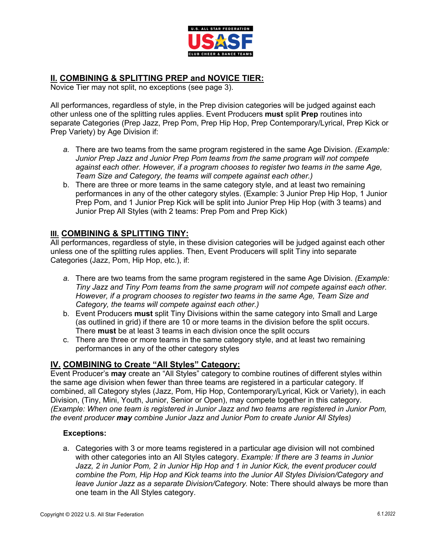

# **II. COMBINING & SPLITTING PREP and NOVICE TIER:**

Novice Tier may not split, no exceptions (see page 3).

All performances, regardless of style, in the Prep division categories will be judged against each other unless one of the splitting rules applies. Event Producers **must** split **Prep** routines into separate Categories (Prep Jazz, Prep Pom, Prep Hip Hop, Prep Contemporary/Lyrical, Prep Kick or Prep Variety) by Age Division if:

- *a.* There are two teams from the same program registered in the same Age Division. *(Example: Junior Prep Jazz and Junior Prep Pom teams from the same program will not compete against each other. However, if a program chooses to register two teams in the same Age, Team Size and Category, the teams will compete against each other.)*
- b. There are three or more teams in the same category style, and at least two remaining performances in any of the other category styles. (Example: 3 Junior Prep Hip Hop, 1 Junior Prep Pom, and 1 Junior Prep Kick will be split into Junior Prep Hip Hop (with 3 teams) and Junior Prep All Styles (with 2 teams: Prep Pom and Prep Kick)

# **III. COMBINING & SPLITTING TINY:**

All performances, regardless of style, in these division categories will be judged against each other unless one of the splitting rules applies. Then, Event Producers will split Tiny into separate Categories (Jazz, Pom, Hip Hop, etc.), if:

- *a.* There are two teams from the same program registered in the same Age Division. *(Example: Tiny Jazz and Tiny Pom teams from the same program will not compete against each other. However, if a program chooses to register two teams in the same Age, Team Size and Category, the teams will compete against each other.)*
- b. Event Producers **must** split Tiny Divisions within the same category into Small and Large (as outlined in grid) if there are 10 or more teams in the division before the split occurs. There **must** be at least 3 teams in each division once the split occurs
- c. There are three or more teams in the same category style, and at least two remaining performances in any of the other category styles

# **IV. COMBINING to Create "All Styles" Category:**

Event Producer's **may** create an "All Styles" category to combine routines of different styles within the same age division when fewer than three teams are registered in a particular category. If combined, all Category styles (Jazz, Pom, Hip Hop, Contemporary/Lyrical, Kick or Variety), in each Division, (Tiny, Mini, Youth, Junior, Senior or Open), may compete together in this category. *(Example: When one team is registered in Junior Jazz and two teams are registered in Junior Pom, the event producer may combine Junior Jazz and Junior Pom to create Junior All Styles)*

#### **Exceptions:**

a. Categories with 3 or more teams registered in a particular age division will not combined with other categories into an All Styles category. *Example: If there are 3 teams in Junior Jazz, 2 in Junior Pom, 2 in Junior Hip Hop and 1 in Junior Kick, the event producer could combine the Pom, Hip Hop and Kick teams into the Junior All Styles Division/Category and leave Junior Jazz as a separate Division/Category.* Note: There should always be more than one team in the All Styles category.